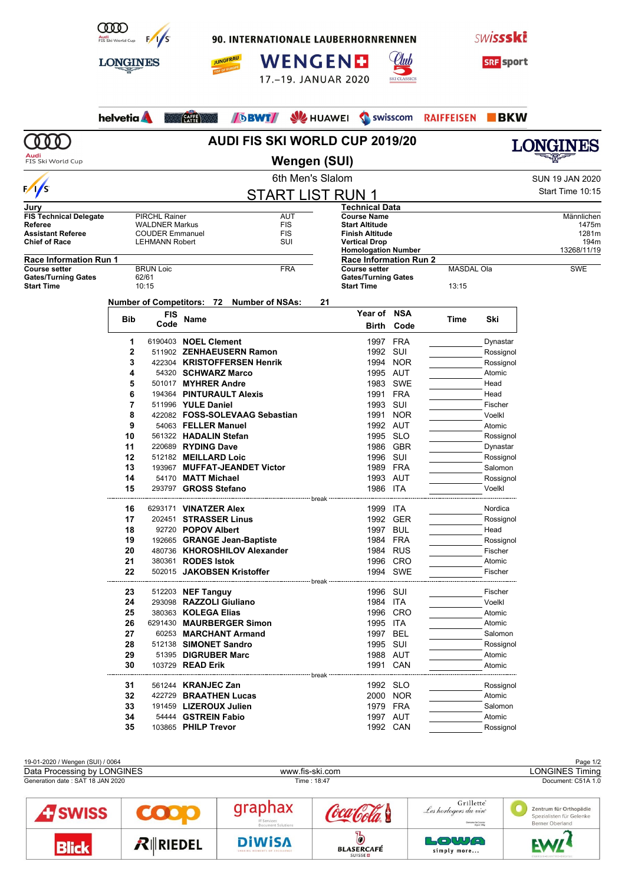

90. INTERNATIONALE LAUBERHORNRENNEN







|                                                 | <b>LONGINES</b>   |                                               |                                                             | <b>JUNGFRAU</b> |                        | <b>WENGEND</b><br>17.-19. JANUAR 2020 |                  |                                                    | <b>SKI CLASSICS</b>  |                   | <b>SRF</b> sport     |                        |
|-------------------------------------------------|-------------------|-----------------------------------------------|-------------------------------------------------------------|-----------------|------------------------|---------------------------------------|------------------|----------------------------------------------------|----------------------|-------------------|----------------------|------------------------|
|                                                 | helvetia <b>A</b> |                                               | CAFFE                                                       | <b>DBWT</b>     |                        |                                       | <b>SZ</b> HUAWEI |                                                    | Swisscom             | <b>RAIFFEISEN</b> | $\blacksquare$ BKW   |                        |
|                                                 |                   |                                               |                                                             |                 |                        |                                       |                  | <b>AUDI FIS SKI WORLD CUP 2019/20</b>              |                      |                   |                      | <b>LONGINES</b>        |
| FIS Ski World Cup                               |                   |                                               |                                                             |                 |                        | Wengen (SUI)                          |                  |                                                    |                      |                   |                      |                        |
|                                                 |                   |                                               |                                                             |                 |                        | 6th Men's Slalom                      |                  |                                                    |                      |                   |                      | <b>SUN 19 JAN 2020</b> |
| $\frac{1}{s}$                                   |                   |                                               |                                                             |                 |                        | <b>START LIST RUN 1</b>               |                  |                                                    |                      |                   |                      | Start Time 10:15       |
| Jury                                            |                   |                                               |                                                             |                 |                        |                                       |                  | Technical Data                                     |                      |                   |                      |                        |
| <b>FIS Technical Delegate</b><br>Referee        |                   | <b>PIRCHL Rainer</b><br><b>WALDNER Markus</b> |                                                             |                 |                        | AUT<br><b>FIS</b>                     |                  | <b>Course Name</b><br><b>Start Altitude</b>        |                      |                   |                      | Männlichen<br>1475m    |
| <b>Assistant Referee</b>                        |                   | <b>COUDER Emmanuel</b>                        |                                                             |                 |                        | <b>FIS</b>                            |                  | Finish Altitude                                    |                      |                   |                      | 1281m                  |
| <b>Chief of Race</b>                            |                   | <b>LEHMANN Robert</b>                         |                                                             |                 |                        | SUI                                   |                  | <b>Vertical Drop</b><br><b>Homologation Number</b> |                      |                   |                      | 194m<br>13268/11/19    |
| <b>Race Information Run 1</b>                   |                   |                                               |                                                             |                 |                        |                                       |                  | <b>Race Information Run 2</b>                      |                      |                   |                      |                        |
| <b>Course setter</b>                            |                   | <b>BRUN Loic</b>                              |                                                             |                 | <b>FRA</b>             |                                       |                  | <b>Course setter</b><br><b>Gates/Turning Gates</b> |                      | <b>MASDAL Ola</b> |                      | <b>SWE</b>             |
| <b>Gates/Turning Gates</b><br><b>Start Time</b> |                   | 62/61<br>10:15                                |                                                             |                 |                        |                                       |                  | <b>Start Time</b>                                  |                      | 13:15             |                      |                        |
|                                                 |                   |                                               | <b>Number of Competitors: 72</b>                            |                 | <b>Number of NSAs:</b> |                                       | 21               |                                                    |                      |                   |                      |                        |
|                                                 |                   | FIS                                           |                                                             |                 |                        |                                       |                  | Year of NSA                                        |                      |                   |                      |                        |
|                                                 | <b>Bib</b>        | Code                                          | Name                                                        |                 |                        |                                       |                  | Birth                                              | Code                 | Time              | Ski                  |                        |
|                                                 | 1                 |                                               | 6190403 NOEL Clement                                        |                 |                        |                                       |                  |                                                    | 1997 FRA             |                   | Dynastar             |                        |
|                                                 | 2                 |                                               | 511902 ZENHAEUSERN Ramon                                    |                 |                        |                                       |                  |                                                    | 1992 SUI             |                   | Rossignol            |                        |
|                                                 | 3                 |                                               | 422304 KRISTOFFERSEN Henrik                                 |                 |                        |                                       |                  | 1994                                               | <b>NOR</b>           |                   | Rossignol            |                        |
|                                                 | 4                 |                                               | 54320 SCHWARZ Marco                                         |                 |                        |                                       |                  |                                                    | 1995 AUT             |                   | Atomic               |                        |
|                                                 | 5                 |                                               | 501017 MYHRER Andre                                         |                 |                        |                                       |                  |                                                    | 1983 SWE             |                   | Head                 |                        |
|                                                 | 6<br>7            |                                               | 194364 PINTURAULT Alexis<br>511996 YULE Daniel              |                 |                        |                                       |                  |                                                    | 1991 FRA<br>1993 SUI |                   | Head<br>Fischer      |                        |
|                                                 | 8                 |                                               | 422082 FOSS-SOLEVAAG Sebastian                              |                 |                        |                                       |                  | 1991                                               | <b>NOR</b>           |                   | Voelkl               |                        |
|                                                 | 9                 |                                               | 54063 FELLER Manuel                                         |                 |                        |                                       |                  |                                                    | 1992 AUT             |                   | Atomic               |                        |
|                                                 | 10                |                                               | 561322 HADALIN Stefan                                       |                 |                        |                                       |                  |                                                    | 1995 SLO             |                   | Rossignol            |                        |
|                                                 | 11                |                                               | 220689 RYDING Dave                                          |                 |                        |                                       |                  | 1986                                               | GBR                  |                   | Dynastar             |                        |
|                                                 | 12                |                                               | 512182 MEILLARD Loic                                        |                 |                        |                                       |                  |                                                    | 1996 SUI             |                   | Rossignol            |                        |
|                                                 | 13                |                                               | 193967 MUFFAT-JEANDET Victor                                |                 |                        |                                       |                  |                                                    | 1989 FRA             |                   | Salomon              |                        |
|                                                 | 14<br>15          |                                               | 54170 MATT Michael<br>293797 GROSS Stefano                  |                 |                        |                                       |                  | 1986 ITA                                           | 1993 AUT             |                   | Rossignol<br>Voelkl  |                        |
|                                                 |                   |                                               |                                                             |                 |                        |                                       | break            |                                                    |                      |                   |                      |                        |
|                                                 | 16                |                                               | 6293171 <b>VINATZER Alex</b>                                |                 |                        |                                       |                  | 1999 ITA                                           |                      |                   | Nordica              |                        |
|                                                 | 17                |                                               | 202451 STRASSER Linus                                       |                 |                        |                                       |                  |                                                    | 1992 GER             |                   | Rossignol            |                        |
|                                                 | 18                |                                               | 92720 POPOV Albert                                          |                 |                        |                                       |                  |                                                    | 1997 BUL             |                   | Head                 |                        |
|                                                 | 19<br>20          |                                               | 192665 GRANGE Jean-Baptiste<br>480736 KHOROSHILOV Alexander |                 |                        |                                       |                  |                                                    | 1984 FRA<br>1984 RUS |                   | Rossignol<br>Fischer |                        |
|                                                 | 21                |                                               | 380361 RODES Istok                                          |                 |                        |                                       |                  |                                                    | 1996 CRO             |                   | Atomic               |                        |
|                                                 | 22                |                                               | 502015 JAKOBSEN Kristoffer                                  |                 |                        |                                       |                  |                                                    | 1994 SWE             |                   | Fischer              |                        |
|                                                 |                   |                                               |                                                             |                 |                        |                                       |                  |                                                    |                      |                   |                      |                        |
|                                                 | 23<br>24          |                                               | 512203 <b>NEF Tanguy</b><br>293098 RAZZOLI Giuliano         |                 |                        |                                       |                  |                                                    | 1996 SUI<br>1984 ITA |                   | Fischer<br>Voelkl    |                        |
|                                                 | 25                |                                               | 380363 KOLEGA Elias                                         |                 |                        |                                       |                  |                                                    | 1996 CRO             |                   | Atomic               |                        |
|                                                 | 26                |                                               | 6291430 MAURBERGER Simon                                    |                 |                        |                                       |                  |                                                    | 1995 ITA             |                   | Atomic               |                        |
|                                                 | 27                |                                               | 60253 MARCHANT Armand                                       |                 |                        |                                       |                  |                                                    | 1997 BEL             |                   | Salomon              |                        |
|                                                 | 28                |                                               | 512138 SIMONET Sandro                                       |                 |                        |                                       |                  |                                                    | 1995 SUI             |                   | Rossignol            |                        |
|                                                 | 29                |                                               | 51395 DIGRUBER Marc                                         |                 |                        |                                       |                  |                                                    | 1988 AUT             |                   | Atomic               |                        |
|                                                 | 30                |                                               | 103729 <b>READ Erik</b>                                     |                 |                        |                                       |                  |                                                    | 1991 CAN             |                   | Atomic               |                        |
|                                                 | 31                |                                               | 561244 <b>KRANJEC Zan</b>                                   |                 |                        |                                       |                  |                                                    | 1992 SLO             |                   | Rossignol            |                        |
|                                                 | 32                |                                               | 422729 BRAATHEN Lucas                                       |                 |                        |                                       |                  |                                                    | 2000 NOR             |                   | Atomic               |                        |
|                                                 | 33                |                                               | 191459 LIZEROUX Julien                                      |                 |                        |                                       |                  |                                                    | 1979 FRA             |                   | Salomon              |                        |
|                                                 | 34                |                                               | 54444 GSTREIN Fabio                                         |                 |                        |                                       |                  |                                                    | 1997 AUT             |                   | Atomic               |                        |
|                                                 | 35                |                                               | 103865 PHILP Trevor                                         |                 |                        |                                       |                  |                                                    | 1992 CAN             |                   | Rossignol            |                        |

| 19-01-2020 / Wengen (SUI) / 0064 |                   |                                                |                                                       |                                                                           | Page 1/2                                                              |  |  |
|----------------------------------|-------------------|------------------------------------------------|-------------------------------------------------------|---------------------------------------------------------------------------|-----------------------------------------------------------------------|--|--|
| Data Processing by LONGINES      |                   | www.fis-ski.com                                |                                                       | <b>LONGINES Timing</b>                                                    |                                                                       |  |  |
| Generation date: SAT 18 JAN 2020 |                   |                                                | Time: 18:47                                           | Document: C51A 1.0                                                        |                                                                       |  |  |
| <b>ATSWISS</b>                   |                   | graphax<br>IT Services<br>Document Solutions   |                                                       | Grillette<br>Les horlogers du vin<br>Domaine De Cressier<br>Diretals sBBa | Zentrum für Orthopädie<br>Spezialisten für Gelenke<br>Berner Oberland |  |  |
| <b>Blick</b>                     | $R$ <b>RIEDEL</b> | <b>DiWISA</b><br>SHARING MOMENTS OF EXCELLENCE | $\overline{c}$<br><b>BLASERCAFÉ</b><br><b>SUISSED</b> | <b>LOWA</b><br>simply more                                                | <b>EVALL!</b><br>ENERGIE-ELEKTRO-DIGITAL                              |  |  |